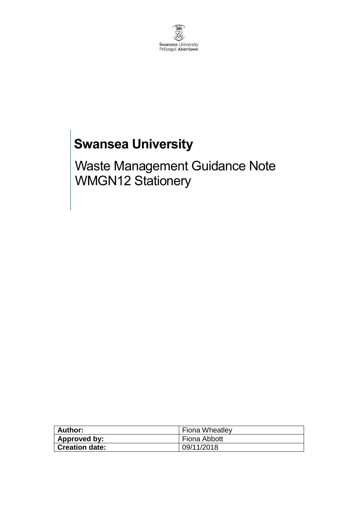

## **Swansea University**

Waste Management Guidance Note WMGN12 Stationery

| Author:               | <b>Fiona Wheatley</b> |
|-----------------------|-----------------------|
| Approved by:          | Fiona Abbott          |
| <b>Creation date:</b> | 09/11/2018            |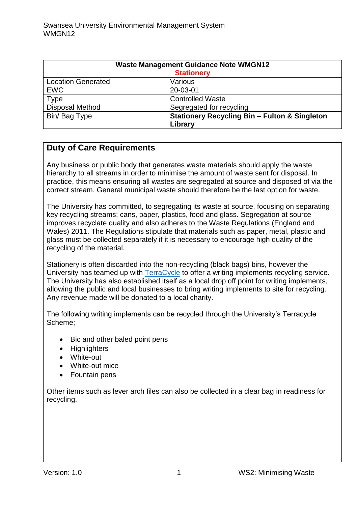| <b>Waste Management Guidance Note WMGN12</b><br><b>Stationery</b> |                                                                     |
|-------------------------------------------------------------------|---------------------------------------------------------------------|
| <b>Location Generated</b>                                         | Various                                                             |
| <b>EWC</b>                                                        | 20-03-01                                                            |
| <b>Type</b>                                                       | <b>Controlled Waste</b>                                             |
| <b>Disposal Method</b>                                            | Segregated for recycling                                            |
| Bin/Bag Type                                                      | <b>Stationery Recycling Bin - Fulton &amp; Singleton</b><br>Library |

## **Duty of Care Requirements**

Any business or public body that generates waste materials should apply the waste hierarchy to all streams in order to minimise the amount of waste sent for disposal. In practice, this means ensuring all wastes are segregated at source and disposed of via the correct stream. General municipal waste should therefore be the last option for waste.

The University has committed, to segregating its waste at source, focusing on separating key recycling streams; cans, paper, plastics, food and glass. Segregation at source improves recyclate quality and also adheres to the Waste Regulations (England and Wales) 2011. The Regulations stipulate that materials such as paper, metal, plastic and glass must be collected separately if it is necessary to encourage high quality of the recycling of the material.

Stationery is often discarded into the non-recycling (black bags) bins, however the University has teamed up with [TerraCycle](https://www.terracycle.co.uk/en-GB/) to offer a writing implements recycling service. The University has also established itself as a local drop off point for writing implements, allowing the public and local businesses to bring writing implements to site for recycling. Any revenue made will be donated to a local charity.

The following writing implements can be recycled through the University's Terracycle Scheme;

- Bic and other baled point pens
- Highlighters
- White-out
- White-out mice
- Fountain pens

Other items such as lever arch files can also be collected in a clear bag in readiness for recycling.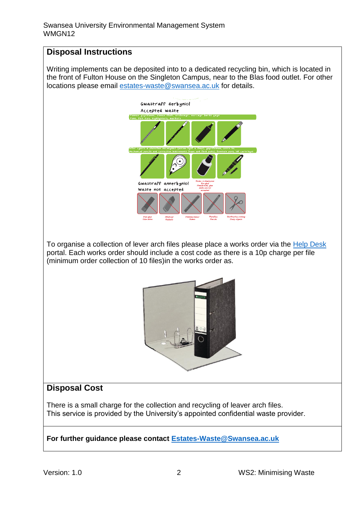## **Disposal Instructions**

Writing implements can be deposited into to a dedicated recycling bin, which is located in the front of Fulton House on the Singleton Campus, near to the Blas food outlet. For other locations please email [estates-waste@swansea.ac.uk](mailto:estates-waste@swansea.ac.uk) for details.



To organise a collection of lever arch files please place a works order via the [Help Desk](https://quemis.swan.ac.uk/Q2_Live/login) portal. Each works order should include a cost code as there is a 10p charge per file (minimum order collection of 10 files)in the works order as.



## **Disposal Cost**

There is a small charge for the collection and recycling of leaver arch files. This service is provided by the University's appointed confidential waste provider.

**For further guidance please contact [Estates-Waste@Swansea.ac.uk](mailto:Estates-Waste@Swansea.ac.uk)**